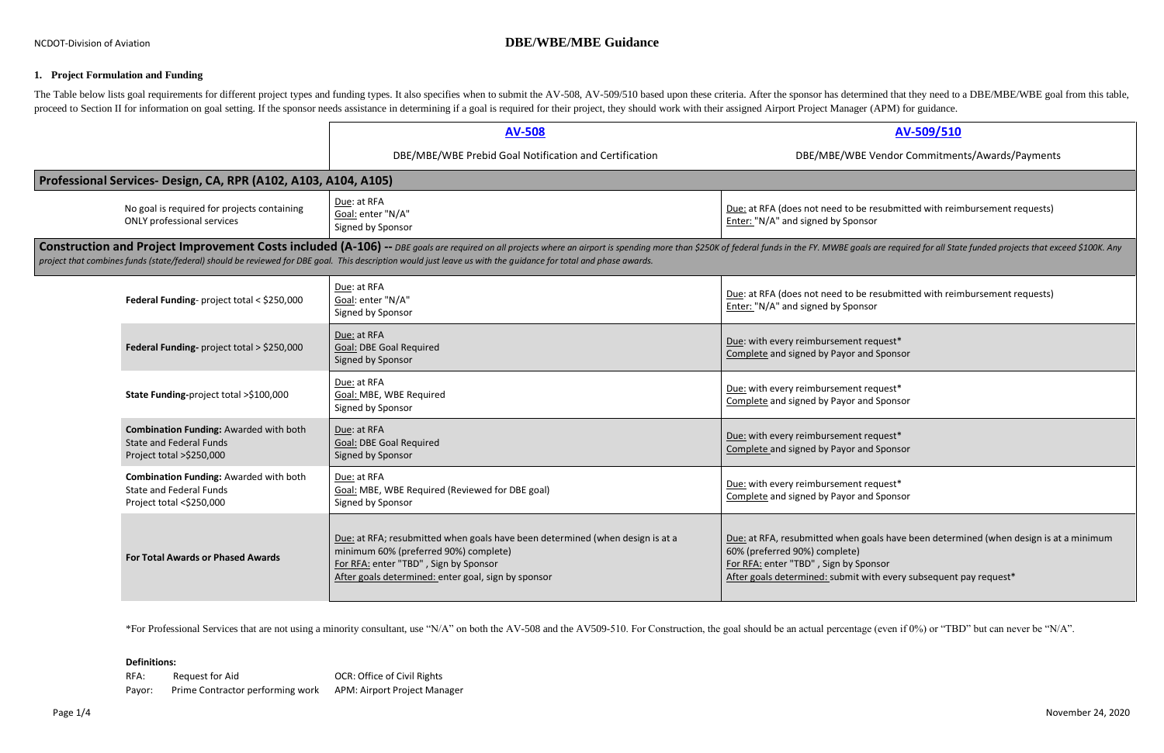# NCDOT-Division of Aviation **DBE/WBE/MBE Guidance**

#### **1. Project Formulation and Funding**

The Table below lists goal requirements for different project types and funding types. It also specifies when to submit the AV-508, AV-509/510 based upon these criteria. After the sponsor has determined that they need to a proceed to Section II for information on goal setting. If the sponsor needs assistance in determining if a goal is required for their project, they should work with their assigned Airport Project Manager (APM) for guidance

# **[AV-508](https://connect.ncdot.gov/municipalities/State-Airport-Aid/State%20Airport%20Aid%20Documents/AV508_DBE_Prebid_Template.pdf) [AV-509/510](https://connect.ncdot.gov/municipalities/State-Airport-Aid/State%20Airport%20Aid%20Documents/AV509_AV510_DBE_CommitAwards_Template.pdf)**

/BE Vendor Commitments/Awards/Payments

be resubmitted with reimbursement requests) onsor:

goals are required for all State funded projects that exceed \$100K. Any

be resubmitted with reimbursement requests) onsor:

nt request\* r and Sponsor

nt request\* and Sponsor

nt request\* and Sponsor

nt request\* and Sponsor

In goals have been determined (when design is at a minimum ' Sponsor it with every subsequent pay request\*

|                                                                                                             | <b>AV-508</b>                                                                                                                                                                                                                                                                                                                                              |                                                                                                                                     |  |  |
|-------------------------------------------------------------------------------------------------------------|------------------------------------------------------------------------------------------------------------------------------------------------------------------------------------------------------------------------------------------------------------------------------------------------------------------------------------------------------------|-------------------------------------------------------------------------------------------------------------------------------------|--|--|
|                                                                                                             | DBE/MBE/WBE Prebid Goal Notification and Certification                                                                                                                                                                                                                                                                                                     | DBE/MBE/WB                                                                                                                          |  |  |
|                                                                                                             |                                                                                                                                                                                                                                                                                                                                                            |                                                                                                                                     |  |  |
| Professional Services- Design, CA, RPR (A102, A103, A104, A105)                                             |                                                                                                                                                                                                                                                                                                                                                            |                                                                                                                                     |  |  |
| No goal is required for projects containing<br><b>ONLY professional services</b>                            | Due: at RFA<br>Goal: enter "N/A"<br>Signed by Sponsor                                                                                                                                                                                                                                                                                                      | Due: at RFA (does not need to b<br>Enter: "N/A" and signed by Spo                                                                   |  |  |
|                                                                                                             | Construction and Project Improvement Costs included (A-106) -- DBE goals are required on all projects where an airport is spending more than \$250K of federal funds in the FY. MWBE go<br>project that combines funds (state/federal) should be reviewed for DBE goal. This description would just leave us with the quidance for total and phase awards. |                                                                                                                                     |  |  |
| Federal Funding- project total < \$250,000                                                                  | Due: at RFA<br>Goal: enter "N/A"<br>Signed by Sponsor                                                                                                                                                                                                                                                                                                      | Due: at RFA (does not need to b<br>Enter: "N/A" and signed by Spo                                                                   |  |  |
| Federal Funding- project total > \$250,000                                                                  | Due: at RFA<br><b>Goal: DBE Goal Required</b><br>Signed by Sponsor                                                                                                                                                                                                                                                                                         | Due: with every reimbursement<br>Complete and signed by Payor a                                                                     |  |  |
| State Funding-project total >\$100,000                                                                      | Due: at RFA<br>Goal: MBE, WBE Required<br>Signed by Sponsor                                                                                                                                                                                                                                                                                                | Due: with every reimbursement<br>Complete and signed by Payor a                                                                     |  |  |
| <b>Combination Funding: Awarded with both</b><br><b>State and Federal Funds</b><br>Project total >\$250,000 | Due: at RFA<br><b>Goal: DBE Goal Required</b><br>Signed by Sponsor                                                                                                                                                                                                                                                                                         | Due: with every reimbursement<br>Complete and signed by Payor a                                                                     |  |  |
| <b>Combination Funding: Awarded with both</b><br><b>State and Federal Funds</b><br>Project total <\$250,000 | Due: at RFA<br>Goal: MBE, WBE Required (Reviewed for DBE goal)<br>Signed by Sponsor                                                                                                                                                                                                                                                                        | Due: with every reimbursement<br>Complete and signed by Payor a                                                                     |  |  |
| <b>For Total Awards or Phased Awards</b>                                                                    | Due: at RFA; resubmitted when goals have been determined (when design is at a<br>minimum 60% (preferred 90%) complete)<br>For RFA: enter "TBD", Sign by Sponsor<br>After goals determined: enter goal, sign by sponsor                                                                                                                                     | Due: at RFA, resubmitted when<br>60% (preferred 90%) complete)<br>For RFA: enter "TBD", Sign by S<br>After goals determined: submit |  |  |

\*For Professional Services that are not using a minority consultant, use "N/A" on both the AV-508 and the AV509-510. For Construction, the goal should be an actual percentage (even if 0%) or "TBD" but can never be "N/A".

**Definitions:**

| RFA:   | Request for Aid                  | OCR: Office of Civil Rights  |
|--------|----------------------------------|------------------------------|
| Payor: | Prime Contractor performing work | APM: Airport Project Manager |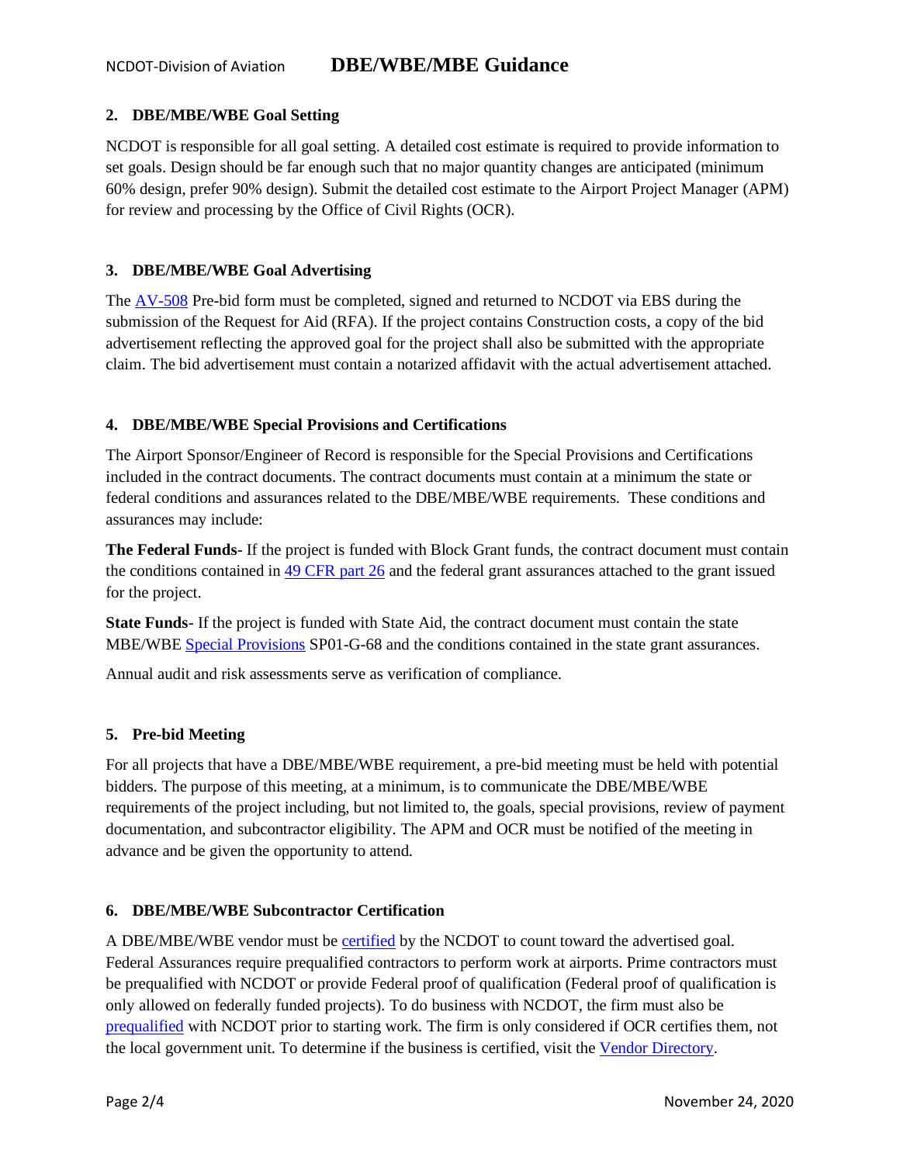## **2. DBE/MBE/WBE Goal Setting**

NCDOT is responsible for all goal setting. A detailed cost estimate is required to provide information to set goals. Design should be far enough such that no major quantity changes are anticipated (minimum 60% design, prefer 90% design). Submit the detailed cost estimate to the Airport Project Manager (APM) for review and processing by the Office of Civil Rights (OCR).

## **3. DBE/MBE/WBE Goal Advertising**

The [AV-508](https://connect.ncdot.gov/municipalities/State-Airport-Aid/State%20Airport%20Aid%20Documents/AV508_DBE_Prebid_Template.pdf) Pre-bid form must be completed, signed and returned to NCDOT via EBS during the submission of the Request for Aid (RFA). If the project contains Construction costs, a copy of the bid advertisement reflecting the approved goal for the project shall also be submitted with the appropriate claim. The bid advertisement must contain a notarized affidavit with the actual advertisement attached.

## **4. DBE/MBE/WBE Special Provisions and Certifications**

The Airport Sponsor/Engineer of Record is responsible for the Special Provisions and Certifications included in the contract documents. The contract documents must contain at a minimum the state or federal conditions and assurances related to the DBE/MBE/WBE requirements. These conditions and assurances may include:

**The Federal Funds**- If the project is funded with Block Grant funds, the contract document must contain the conditions contained i[n 49 CFR part 26](http://www.ecfr.gov/cgi-bin/text-idx?tpl=/ecfrbrowse/Title49/49cfr26_main_02.tpl) and the federal grant assurances attached to the grant issued for the project.

**State Funds**- If the project is funded with State Aid, the contract document must contain the state MBE/WBE [Special Provisions](https://connect.ncdot.gov/resources/Specifications/pages/specifications-and-special-provisions.aspx) SP01-G-68 and the conditions contained in the state grant assurances.

Annual audit and risk assessments serve as verification of compliance.

# **5. Pre-bid Meeting**

For all projects that have a DBE/MBE/WBE requirement, a pre-bid meeting must be held with potential bidders. The purpose of this meeting, at a minimum, is to communicate the DBE/MBE/WBE requirements of the project including, but not limited to, the goals, special provisions, review of payment documentation, and subcontractor eligibility. The APM and OCR must be notified of the meeting in advance and be given the opportunity to attend.

## **6. DBE/MBE/WBE Subcontractor Certification**

A DBE/MBE/WBE vendor must be [certified](https://connect.ncdot.gov/business/SmallBusiness/Pages/MBE%20WBE%20Certification%20Process.aspx) by the NCDOT to count toward the advertised goal. Federal Assurances require prequalified contractors to perform work at airports. Prime contractors must be prequalified with NCDOT or provide Federal proof of qualification (Federal proof of qualification is only allowed on federally funded projects). To do business with NCDOT, the firm must also be [prequalified](https://connect.ncdot.gov/business/Prequal/Pages/default.aspx) with NCDOT prior to starting work. The firm is only considered if OCR certifies them, not the local government unit. To determine if the business is certified, visit the [Vendor Directory.](https://www.ebs.nc.gov/VendorDirectory/default.html)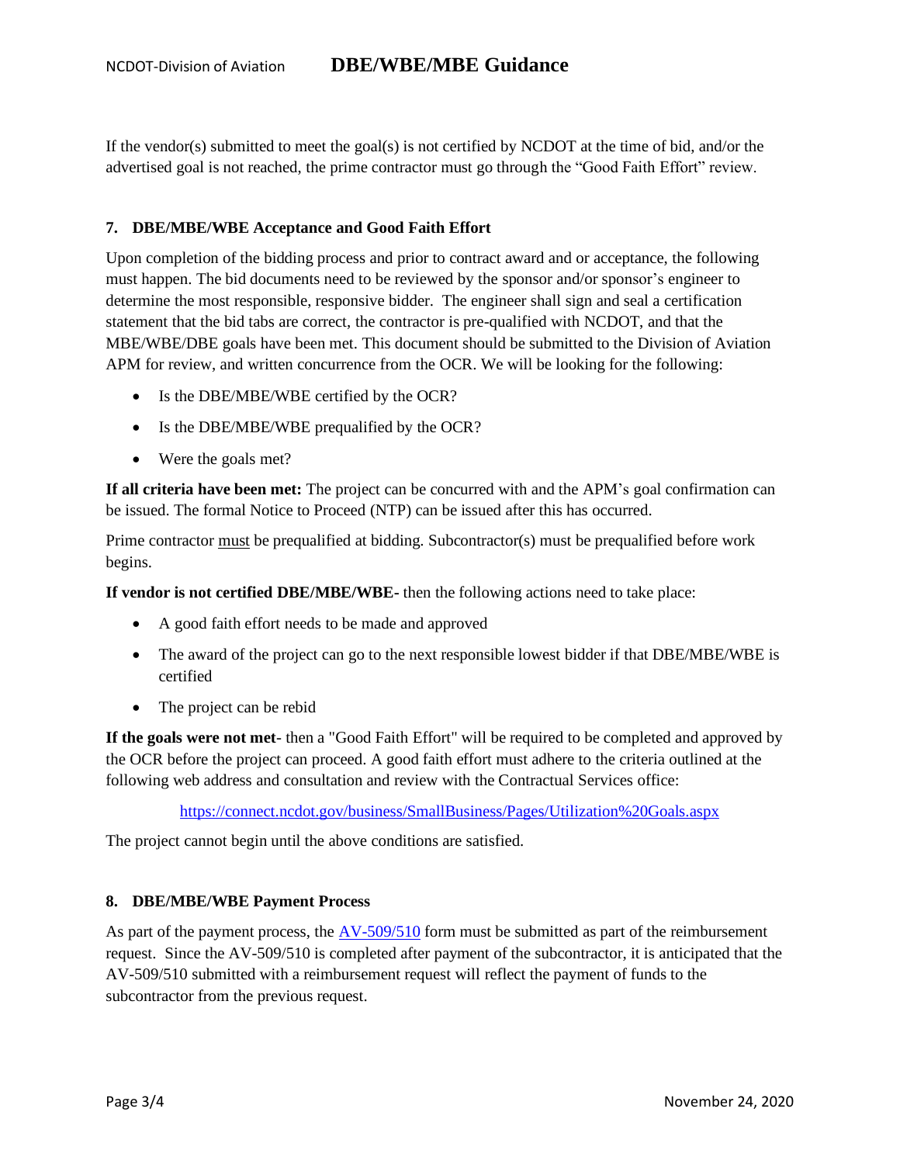If the vendor(s) submitted to meet the goal(s) is not certified by NCDOT at the time of bid, and/or the advertised goal is not reached, the prime contractor must go through the "Good Faith Effort" review.

#### **7. DBE/MBE/WBE Acceptance and Good Faith Effort**

Upon completion of the bidding process and prior to contract award and or acceptance, the following must happen. The bid documents need to be reviewed by the sponsor and/or sponsor's engineer to determine the most responsible, responsive bidder. The engineer shall sign and seal a certification statement that the bid tabs are correct, the contractor is pre-qualified with NCDOT, and that the MBE/WBE/DBE goals have been met. This document should be submitted to the Division of Aviation APM for review, and written concurrence from the OCR. We will be looking for the following:

- Is the DBE/MBE/WBE certified by the OCR?
- Is the DBE/MBE/WBE prequalified by the OCR?
- Were the goals met?

**If all criteria have been met:** The project can be concurred with and the APM's goal confirmation can be issued. The formal Notice to Proceed (NTP) can be issued after this has occurred.

Prime contractor must be prequalified at bidding. Subcontractor(s) must be prequalified before work begins.

**If vendor is not certified DBE/MBE/WBE-** then the following actions need to take place:

- A good faith effort needs to be made and approved
- The award of the project can go to the next responsible lowest bidder if that DBE/MBE/WBE is certified
- The project can be rebid

**If the goals were not met**- then a "Good Faith Effort" will be required to be completed and approved by the OCR before the project can proceed. A good faith effort must adhere to the criteria outlined at the following web address and consultation and review with the Contractual Services office:

<https://connect.ncdot.gov/business/SmallBusiness/Pages/Utilization%20Goals.aspx>

The project cannot begin until the above conditions are satisfied.

#### **8. DBE/MBE/WBE Payment Process**

As part of the payment process, the  $AV-509/510$  form must be submitted as part of the reimbursement request. Since the AV-509/510 is completed after payment of the subcontractor, it is anticipated that the AV-509/510 submitted with a reimbursement request will reflect the payment of funds to the subcontractor from the previous request.